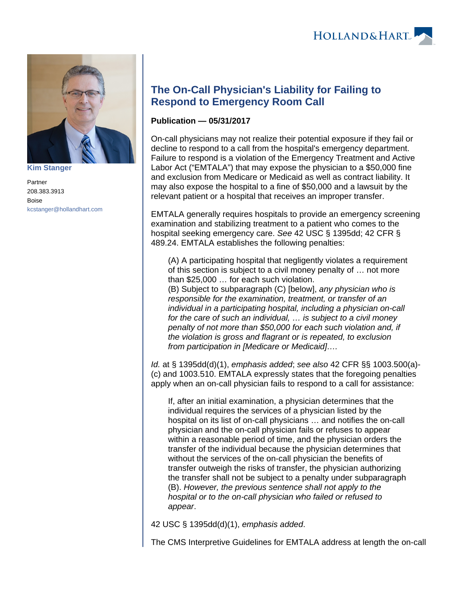

**[Kim Stanger](https://www.hollandhart.com/15954)**

Partner 208.383.3913 Boise [kcstanger@hollandhart.com](mailto:kcstanger@hollandhart.com)

## **The On-Call Physician's Liability for Failing to Respond to Emergency Room Call**

## **Publication — 05/31/2017**

On-call physicians may not realize their potential exposure if they fail or decline to respond to a call from the hospital's emergency department. Failure to respond is a violation of the Emergency Treatment and Active Labor Act ("EMTALA") that may expose the physician to a \$50,000 fine and exclusion from Medicare or Medicaid as well as contract liability. It may also expose the hospital to a fine of \$50,000 and a lawsuit by the relevant patient or a hospital that receives an improper transfer.

EMTALA generally requires hospitals to provide an emergency screening examination and stabilizing treatment to a patient who comes to the hospital seeking emergency care. See 42 USC § 1395dd; 42 CFR § 489.24. EMTALA establishes the following penalties:

(A) A participating hospital that negligently violates a requirement of this section is subject to a civil money penalty of … not more than \$25,000 … for each such violation.

(B) Subject to subparagraph (C) [below], any physician who is responsible for the examination, treatment, or transfer of an individual in a participating hospital, including a physician on-call for the care of such an individual, … is subject to a civil money penalty of not more than \$50,000 for each such violation and, if the violation is gross and flagrant or is repeated, to exclusion from participation in [Medicare or Medicaid]….

Id. at § 1395dd(d)(1), emphasis added; see also 42 CFR §§ 1003.500(a)- (c) and 1003.510. EMTALA expressly states that the foregoing penalties apply when an on-call physician fails to respond to a call for assistance:

If, after an initial examination, a physician determines that the individual requires the services of a physician listed by the hospital on its list of on-call physicians … and notifies the on-call physician and the on-call physician fails or refuses to appear within a reasonable period of time, and the physician orders the transfer of the individual because the physician determines that without the services of the on-call physician the benefits of transfer outweigh the risks of transfer, the physician authorizing the transfer shall not be subject to a penalty under subparagraph (B). However, the previous sentence shall not apply to the hospital or to the on-call physician who failed or refused to appear.

42 USC § 1395dd(d)(1), emphasis added.

The CMS Interpretive Guidelines for EMTALA address at length the on-call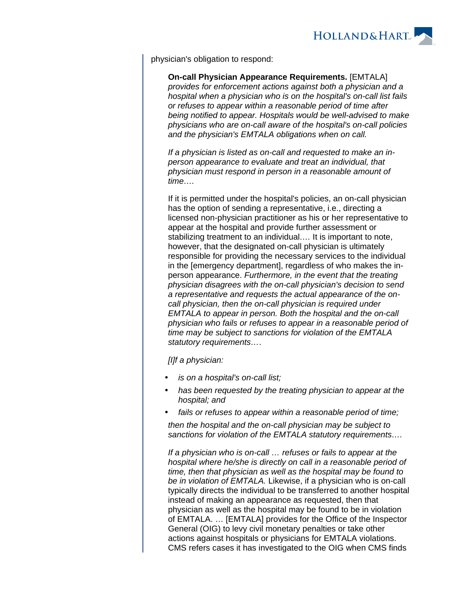

physician's obligation to respond:

**On-call Physician Appearance Requirements.** [EMTALA] provides for enforcement actions against both a physician and a hospital when a physician who is on the hospital's on-call list fails or refuses to appear within a reasonable period of time after being notified to appear. Hospitals would be well-advised to make physicians who are on-call aware of the hospital's on-call policies and the physician's EMTALA obligations when on call.

If a physician is listed as on-call and requested to make an inperson appearance to evaluate and treat an individual, that physician must respond in person in a reasonable amount of time….

If it is permitted under the hospital's policies, an on-call physician has the option of sending a representative, i.e., directing a licensed non-physician practitioner as his or her representative to appear at the hospital and provide further assessment or stabilizing treatment to an individual.… It is important to note, however, that the designated on-call physician is ultimately responsible for providing the necessary services to the individual in the [emergency department], regardless of who makes the inperson appearance. Furthermore, in the event that the treating physician disagrees with the on-call physician's decision to send a representative and requests the actual appearance of the oncall physician, then the on-call physician is required under EMTALA to appear in person. Both the hospital and the on-call physician who fails or refuses to appear in a reasonable period of time may be subject to sanctions for violation of the EMTALA statutory requirements….

[I]f a physician:

- is on a hospital's on-call list;
- has been requested by the treating physician to appear at the hospital; and
- fails or refuses to appear within a reasonable period of time;

then the hospital and the on-call physician may be subject to sanctions for violation of the EMTALA statutory requirements….

If a physician who is on-call … refuses or fails to appear at the hospital where he/she is directly on call in a reasonable period of time, then that physician as well as the hospital may be found to be in violation of EMTALA. Likewise, if a physician who is on-call typically directs the individual to be transferred to another hospital instead of making an appearance as requested, then that physician as well as the hospital may be found to be in violation of EMTALA. … [EMTALA] provides for the Office of the Inspector General (OIG) to levy civil monetary penalties or take other actions against hospitals or physicians for EMTALA violations. CMS refers cases it has investigated to the OIG when CMS finds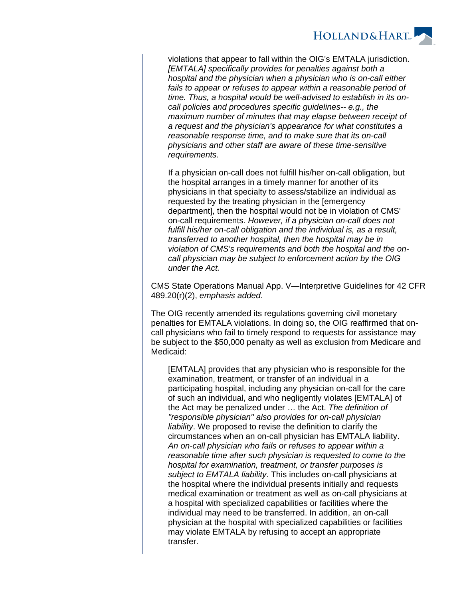

violations that appear to fall within the OIG's EMTALA jurisdiction. [EMTALA] specifically provides for penalties against both a hospital and the physician when a physician who is on-call either fails to appear or refuses to appear within a reasonable period of time. Thus, a hospital would be well-advised to establish in its oncall policies and procedures specific guidelines-- e.g., the maximum number of minutes that may elapse between receipt of a request and the physician's appearance for what constitutes a reasonable response time, and to make sure that its on-call physicians and other staff are aware of these time-sensitive requirements.

If a physician on-call does not fulfill his/her on-call obligation, but the hospital arranges in a timely manner for another of its physicians in that specialty to assess/stabilize an individual as requested by the treating physician in the [emergency department], then the hospital would not be in violation of CMS' on-call requirements. However, if a physician on-call does not fulfill his/her on-call obligation and the individual is, as a result, transferred to another hospital, then the hospital may be in violation of CMS's requirements and both the hospital and the oncall physician may be subject to enforcement action by the OIG under the Act.

CMS State Operations Manual App. V—Interpretive Guidelines for 42 CFR 489.20(r)(2), emphasis added.

The OIG recently amended its regulations governing civil monetary penalties for EMTALA violations. In doing so, the OIG reaffirmed that oncall physicians who fail to timely respond to requests for assistance may be subject to the \$50,000 penalty as well as exclusion from Medicare and Medicaid:

[EMTALA] provides that any physician who is responsible for the examination, treatment, or transfer of an individual in a participating hospital, including any physician on-call for the care of such an individual, and who negligently violates [EMTALA] of the Act may be penalized under … the Act. The definition of ''responsible physician'' also provides for on-call physician liability. We proposed to revise the definition to clarify the circumstances when an on-call physician has EMTALA liability. An on-call physician who fails or refuses to appear within a reasonable time after such physician is requested to come to the hospital for examination, treatment, or transfer purposes is subject to EMTALA liability. This includes on-call physicians at the hospital where the individual presents initially and requests medical examination or treatment as well as on-call physicians at a hospital with specialized capabilities or facilities where the individual may need to be transferred. In addition, an on-call physician at the hospital with specialized capabilities or facilities may violate EMTALA by refusing to accept an appropriate transfer.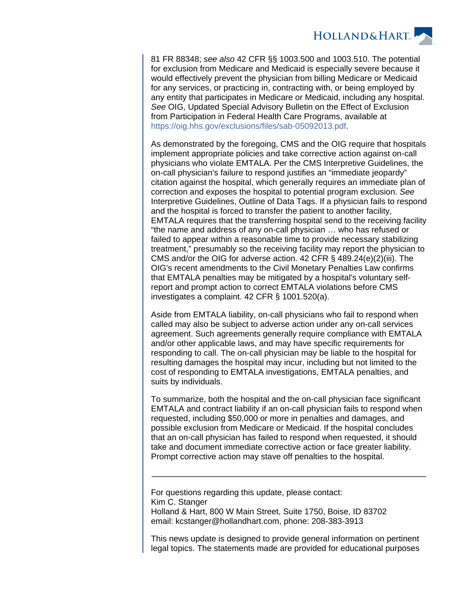

81 FR 88348; see also 42 CFR §§ 1003.500 and 1003.510. The potential for exclusion from Medicare and Medicaid is especially severe because it would effectively prevent the physician from billing Medicare or Medicaid for any services, or practicing in, contracting with, or being employed by any entity that participates in Medicare or Medicaid, including any hospital. See OIG, Updated Special Advisory Bulletin on the Effect of Exclusion from Participation in Federal Health Care Programs, available at [https://oig.hhs.gov/exclusions/files/sab-05092013.pdf.](https://oig.hhs.gov/exclusions/files/sab-05092013.pdf)

As demonstrated by the foregoing, CMS and the OIG require that hospitals implement appropriate policies and take corrective action against on-call physicians who violate EMTALA. Per the CMS Interpretive Guidelines, the on-call physician's failure to respond justifies an "immediate jeopardy" citation against the hospital, which generally requires an immediate plan of correction and exposes the hospital to potential program exclusion. See Interpretive Guidelines, Outline of Data Tags. If a physician fails to respond and the hospital is forced to transfer the patient to another facility, EMTALA requires that the transferring hospital send to the receiving facility "the name and address of any on-call physician … who has refused or failed to appear within a reasonable time to provide necessary stabilizing treatment," presumably so the receiving facility may report the physician to CMS and/or the OIG for adverse action. 42 CFR  $\S$  489.24(e)(2)(iii). The OIG's recent amendments to the Civil Monetary Penalties Law confirms that EMTALA penalties may be mitigated by a hospital's voluntary selfreport and prompt action to correct EMTALA violations before CMS investigates a complaint. 42 CFR § 1001.520(a).

Aside from EMTALA liability, on-call physicians who fail to respond when called may also be subject to adverse action under any on-call services agreement. Such agreements generally require compliance with EMTALA and/or other applicable laws, and may have specific requirements for responding to call. The on-call physician may be liable to the hospital for resulting damages the hospital may incur, including but not limited to the cost of responding to EMTALA investigations, EMTALA penalties, and suits by individuals.

To summarize, both the hospital and the on-call physician face significant EMTALA and contract liability if an on-call physician fails to respond when requested, including \$50,000 or more in penalties and damages, and possible exclusion from Medicare or Medicaid. If the hospital concludes that an on-call physician has failed to respond when requested, it should take and document immediate corrective action or face greater liability. Prompt corrective action may stave off penalties to the hospital.

For questions regarding this update, please contact: Kim C. Stanger Holland & Hart, 800 W Main Street, Suite 1750, Boise, ID 83702 email: kcstanger@hollandhart.com, phone: 208-383-3913

This news update is designed to provide general information on pertinent legal topics. The statements made are provided for educational purposes